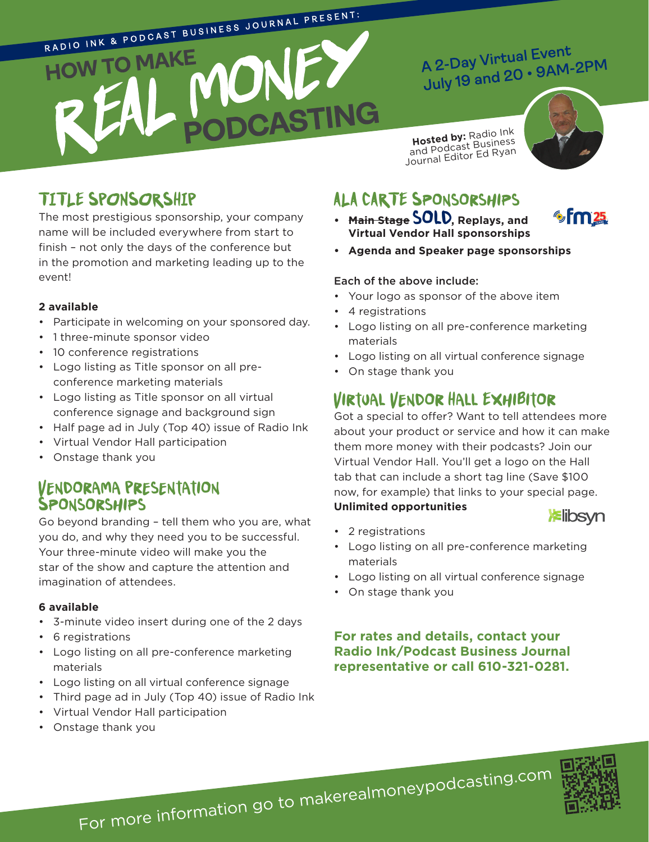

## A 2-Day Virtual Event A 2-Day Virtual Event<br>July 19 and 20 • 9AM-2PM

**Hosted by: Radio Ink and Podcast Business** Journal Editor Ed Ryan



## **TITLE SPONSORSHIP**

The most prestigious sponsorship, your company name will be included everywhere from start to finish – not only the days of the conference but in the promotion and marketing leading up to the event!

#### **2 available**

- Participate in welcoming on your sponsored day.
- 1 three-minute sponsor video
- 10 conference registrations
- Logo listing as Title sponsor on all preconference marketing materials
- Logo listing as Title sponsor on all virtual conference signage and background sign
- Half page ad in July (Top 40) issue of Radio Ink
- Virtual Vendor Hall participation
- Onstage thank you

#### **Vendorama Presentation Sponsorships**

Go beyond branding – tell them who you are, what you do, and why they need you to be successful. Your three-minute video will make you the star of the show and capture the attention and imagination of attendees.

#### **6 available**

- 3-minute video insert during one of the 2 days
- 6 registrations
- Logo listing on all pre-conference marketing materials
- Logo listing on all virtual conference signage
- Third page ad in July (Top 40) issue of Radio Ink
- Virtual Vendor Hall participation
- Onstage thank you

## **ALA CARTE Sponsorships**

**• Main Stage sold, Replays, and Virtual Vendor Hall sponsorships**  $\sim$  m  $25$ 

**Elibsyn** 

**• Agenda and Speaker page sponsorships** 

#### Each of the above include:

- Your logo as sponsor of the above item
- 4 registrations
- Logo listing on all pre-conference marketing materials
- Logo listing on all virtual conference signage
- On stage thank you

### **Virtual Vendor Hall Exhibitor**

Got a special to offer? Want to tell attendees more about your product or service and how it can make them more money with their podcasts? Join our Virtual Vendor Hall. You'll get a logo on the Hall tab that can include a short tag line (Save \$100 now, for example) that links to your special page. **Unlimited opportunities**

### • 2 registrations

- Logo listing on all pre-conference marketing materials
- Logo listing on all virtual conference signage
- On stage thank you

**For rates and details, contact your Radio Ink/Podcast Business Journal representative or call 610-321-0281.**



For more information go to makerealmoneypodcasting.co<sup>m</sup>